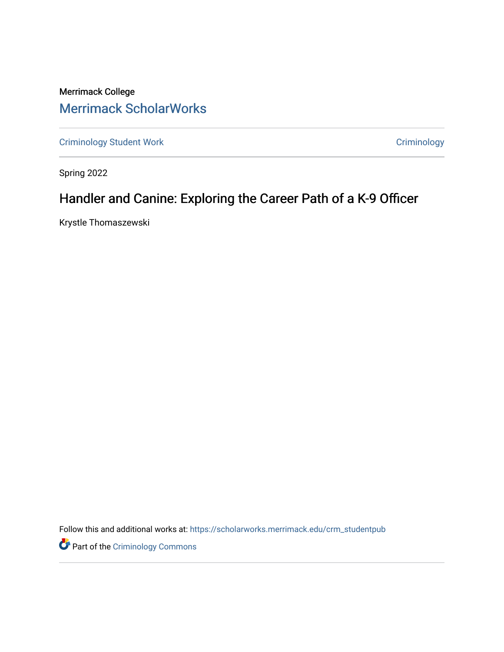Merrimack College [Merrimack ScholarWorks](https://scholarworks.merrimack.edu/) 

[Criminology Student Work](https://scholarworks.merrimack.edu/crm_studentpub) **Criminology** Criminology

Spring 2022

# Handler and Canine: Exploring the Career Path of a K-9 Officer

Krystle Thomaszewski

Follow this and additional works at: [https://scholarworks.merrimack.edu/crm\\_studentpub](https://scholarworks.merrimack.edu/crm_studentpub?utm_source=scholarworks.merrimack.edu%2Fcrm_studentpub%2F50&utm_medium=PDF&utm_campaign=PDFCoverPages) 

**Part of the Criminology Commons**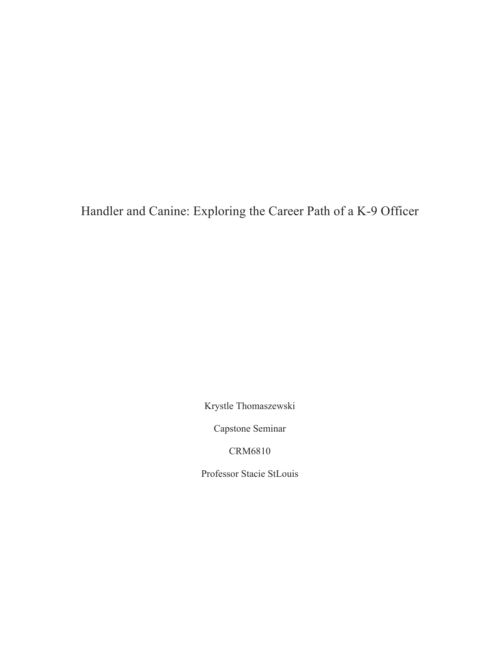Handler and Canine: Exploring the Career Path of a K-9 Officer

Krystle Thomaszewski

Capstone Seminar

CRM6810

Professor Stacie StLouis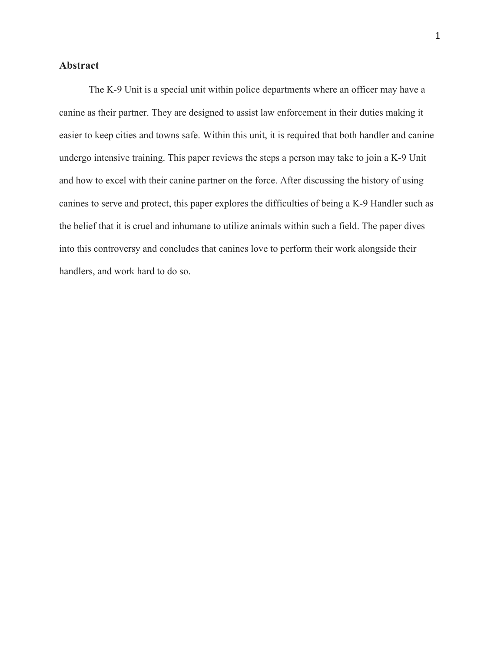## **Abstract**

The K-9 Unit is a special unit within police departments where an officer may have a canine as their partner. They are designed to assist law enforcement in their duties making it easier to keep cities and towns safe. Within this unit, it is required that both handler and canine undergo intensive training. This paper reviews the steps a person may take to join a K-9 Unit and how to excel with their canine partner on the force. After discussing the history of using canines to serve and protect, this paper explores the difficulties of being a K-9 Handler such as the belief that it is cruel and inhumane to utilize animals within such a field. The paper dives into this controversy and concludes that canines love to perform their work alongside their handlers, and work hard to do so.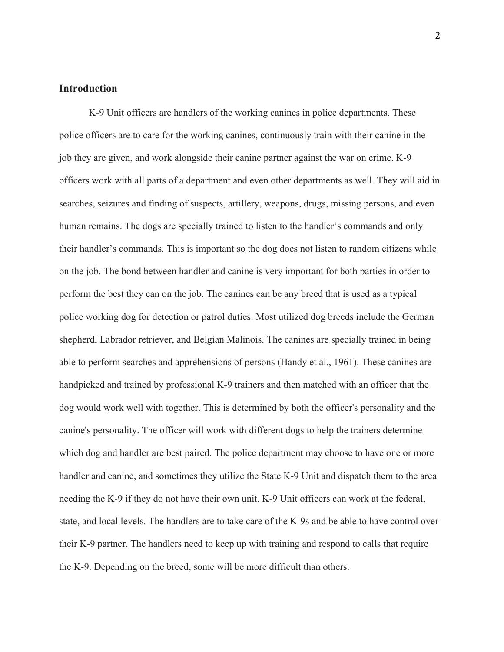## **Introduction**

K-9 Unit officers are handlers of the working canines in police departments. These police officers are to care for the working canines, continuously train with their canine in the job they are given, and work alongside their canine partner against the war on crime. K-9 officers work with all parts of a department and even other departments as well. They will aid in searches, seizures and finding of suspects, artillery, weapons, drugs, missing persons, and even human remains. The dogs are specially trained to listen to the handler's commands and only their handler's commands. This is important so the dog does not listen to random citizens while on the job. The bond between handler and canine is very important for both parties in order to perform the best they can on the job. The canines can be any breed that is used as a typical police working dog for detection or patrol duties. Most utilized dog breeds include the German shepherd, Labrador retriever, and Belgian Malinois. The canines are specially trained in being able to perform searches and apprehensions of persons (Handy et al., 1961). These canines are handpicked and trained by professional K-9 trainers and then matched with an officer that the dog would work well with together. This is determined by both the officer's personality and the canine's personality. The officer will work with different dogs to help the trainers determine which dog and handler are best paired. The police department may choose to have one or more handler and canine, and sometimes they utilize the State K-9 Unit and dispatch them to the area needing the K-9 if they do not have their own unit. K-9 Unit officers can work at the federal, state, and local levels. The handlers are to take care of the K-9s and be able to have control over their K-9 partner. The handlers need to keep up with training and respond to calls that require the K-9. Depending on the breed, some will be more difficult than others.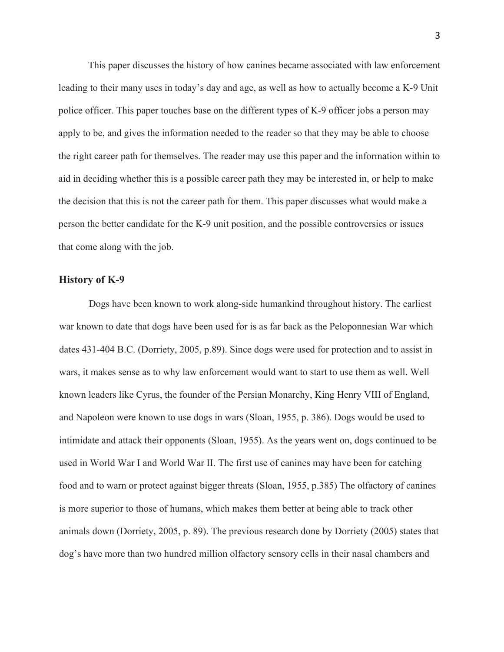This paper discusses the history of how canines became associated with law enforcement leading to their many uses in today's day and age, as well as how to actually become a K-9 Unit police officer. This paper touches base on the different types of K-9 officer jobs a person may apply to be, and gives the information needed to the reader so that they may be able to choose the right career path for themselves. The reader may use this paper and the information within to aid in deciding whether this is a possible career path they may be interested in, or help to make the decision that this is not the career path for them. This paper discusses what would make a person the better candidate for the K-9 unit position, and the possible controversies or issues that come along with the job.

#### **History of K-9**

Dogs have been known to work along-side humankind throughout history. The earliest war known to date that dogs have been used for is as far back as the Peloponnesian War which dates 431-404 B.C. (Dorriety, 2005, p.89). Since dogs were used for protection and to assist in wars, it makes sense as to why law enforcement would want to start to use them as well. Well known leaders like Cyrus, the founder of the Persian Monarchy, King Henry VIII of England, and Napoleon were known to use dogs in wars (Sloan, 1955, p. 386). Dogs would be used to intimidate and attack their opponents (Sloan, 1955). As the years went on, dogs continued to be used in World War I and World War II. The first use of canines may have been for catching food and to warn or protect against bigger threats (Sloan, 1955, p.385) The olfactory of canines is more superior to those of humans, which makes them better at being able to track other animals down (Dorriety, 2005, p. 89). The previous research done by Dorriety (2005) states that dog's have more than two hundred million olfactory sensory cells in their nasal chambers and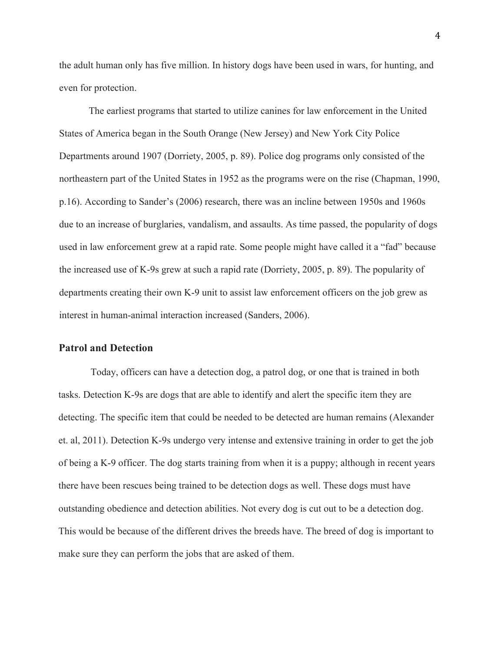the adult human only has five million. In history dogs have been used in wars, for hunting, and even for protection.

The earliest programs that started to utilize canines for law enforcement in the United States of America began in the South Orange (New Jersey) and New York City Police Departments around 1907 (Dorriety, 2005, p. 89). Police dog programs only consisted of the northeastern part of the United States in 1952 as the programs were on the rise (Chapman, 1990, p.16). According to Sander's (2006) research, there was an incline between 1950s and 1960s due to an increase of burglaries, vandalism, and assaults. As time passed, the popularity of dogs used in law enforcement grew at a rapid rate. Some people might have called it a "fad" because the increased use of K-9s grew at such a rapid rate (Dorriety, 2005, p. 89). The popularity of departments creating their own K-9 unit to assist law enforcement officers on the job grew as interest in human-animal interaction increased (Sanders, 2006).

#### **Patrol and Detection**

Today, officers can have a detection dog, a patrol dog, or one that is trained in both tasks. Detection K-9s are dogs that are able to identify and alert the specific item they are detecting. The specific item that could be needed to be detected are human remains (Alexander et. al, 2011). Detection K-9s undergo very intense and extensive training in order to get the job of being a K-9 officer. The dog starts training from when it is a puppy; although in recent years there have been rescues being trained to be detection dogs as well. These dogs must have outstanding obedience and detection abilities. Not every dog is cut out to be a detection dog. This would be because of the different drives the breeds have. The breed of dog is important to make sure they can perform the jobs that are asked of them.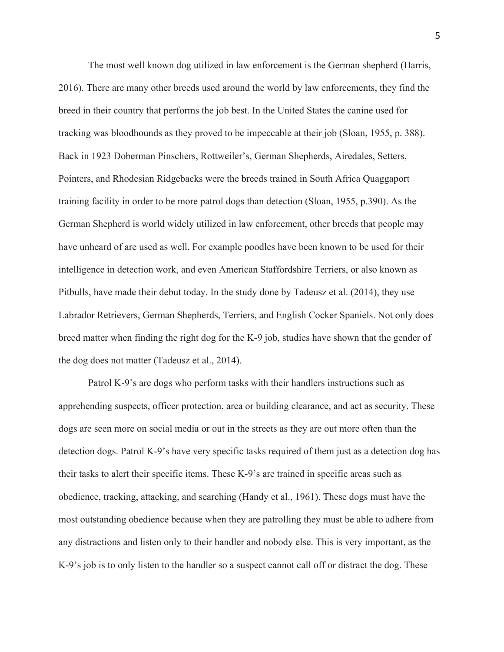The most well known dog utilized in law enforcement is the German shepherd (Harris, 2016). There are many other breeds used around the world by law enforcements, they find the breed in their country that performs the job best. In the United States the canine used for tracking was bloodhounds as they proved to be impeccable at their job (Sloan, 1955, p. 388). Back in 1923 Doberman Pinschers, Rottweiler's, German Shepherds, Airedales, Setters, Pointers, and Rhodesian Ridgebacks were the breeds trained in South Africa Quaggaport training facility in order to be more patrol dogs than detection (Sloan, 1955, p.390). As the German Shepherd is world widely utilized in law enforcement, other breeds that people may have unheard of are used as well. For example poodles have been known to be used for their intelligence in detection work, and even American Staffordshire Terriers, or also known as Pitbulls, have made their debut today. In the study done by Tadeusz et al. (2014), they use Labrador Retrievers, German Shepherds, Terriers, and English Cocker Spaniels. Not only does breed matter when finding the right dog for the K-9 job, studies have shown that the gender of the dog does not matter (Tadeusz et al., 2014).

Patrol K-9's are dogs who perform tasks with their handlers instructions such as apprehending suspects, officer protection, area or building clearance, and act as security. These dogs are seen more on social media or out in the streets as they are out more often than the detection dogs. Patrol K-9's have very specific tasks required of them just as a detection dog has their tasks to alert their specific items. These K-9's are trained in specific areas such as obedience, tracking, attacking, and searching (Handy et al., 1961). These dogs must have the most outstanding obedience because when they are patrolling they must be able to adhere from any distractions and listen only to their handler and nobody else. This is very important, as the K-9's job is to only listen to the handler so a suspect cannot call off or distract the dog. These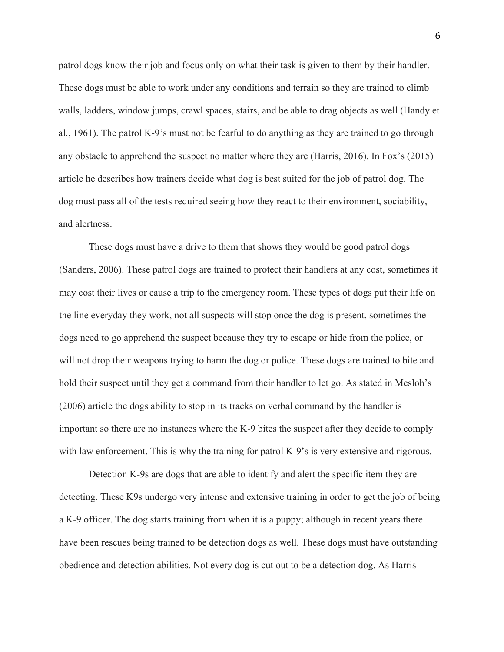patrol dogs know their job and focus only on what their task is given to them by their handler. These dogs must be able to work under any conditions and terrain so they are trained to climb walls, ladders, window jumps, crawl spaces, stairs, and be able to drag objects as well (Handy et al., 1961). The patrol K-9's must not be fearful to do anything as they are trained to go through any obstacle to apprehend the suspect no matter where they are (Harris, 2016). In Fox's (2015) article he describes how trainers decide what dog is best suited for the job of patrol dog. The dog must pass all of the tests required seeing how they react to their environment, sociability, and alertness.

These dogs must have a drive to them that shows they would be good patrol dogs (Sanders, 2006). These patrol dogs are trained to protect their handlers at any cost, sometimes it may cost their lives or cause a trip to the emergency room. These types of dogs put their life on the line everyday they work, not all suspects will stop once the dog is present, sometimes the dogs need to go apprehend the suspect because they try to escape or hide from the police, or will not drop their weapons trying to harm the dog or police. These dogs are trained to bite and hold their suspect until they get a command from their handler to let go. As stated in Mesloh's (2006) article the dogs ability to stop in its tracks on verbal command by the handler is important so there are no instances where the K-9 bites the suspect after they decide to comply with law enforcement. This is why the training for patrol K-9's is very extensive and rigorous.

Detection K-9s are dogs that are able to identify and alert the specific item they are detecting. These K9s undergo very intense and extensive training in order to get the job of being a K-9 officer. The dog starts training from when it is a puppy; although in recent years there have been rescues being trained to be detection dogs as well. These dogs must have outstanding obedience and detection abilities. Not every dog is cut out to be a detection dog. As Harris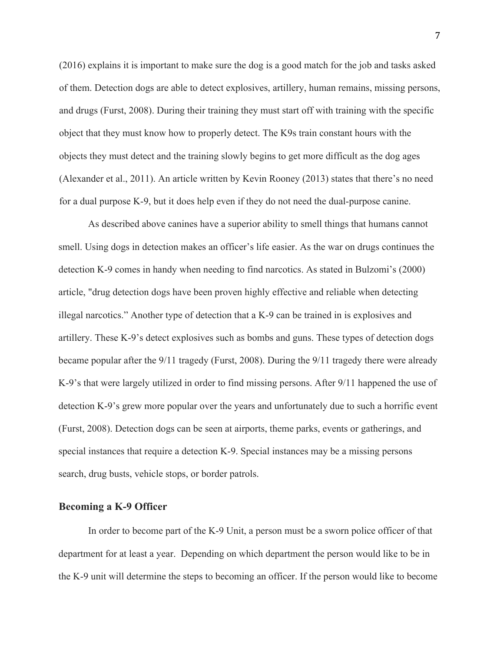(2016) explains it is important to make sure the dog is a good match for the job and tasks asked of them. Detection dogs are able to detect explosives, artillery, human remains, missing persons, and drugs (Furst, 2008). During their training they must start off with training with the specific object that they must know how to properly detect. The K9s train constant hours with the objects they must detect and the training slowly begins to get more difficult as the dog ages (Alexander et al., 2011). An article written by Kevin Rooney (2013) states that there's no need for a dual purpose K-9, but it does help even if they do not need the dual-purpose canine.

As described above canines have a superior ability to smell things that humans cannot smell. Using dogs in detection makes an officer's life easier. As the war on drugs continues the detection K-9 comes in handy when needing to find narcotics. As stated in Bulzomi's (2000) article, "drug detection dogs have been proven highly effective and reliable when detecting illegal narcotics." Another type of detection that a K-9 can be trained in is explosives and artillery. These K-9's detect explosives such as bombs and guns. These types of detection dogs became popular after the 9/11 tragedy (Furst, 2008). During the 9/11 tragedy there were already K-9's that were largely utilized in order to find missing persons. After 9/11 happened the use of detection K-9's grew more popular over the years and unfortunately due to such a horrific event (Furst, 2008). Detection dogs can be seen at airports, theme parks, events or gatherings, and special instances that require a detection K-9. Special instances may be a missing persons search, drug busts, vehicle stops, or border patrols.

#### **Becoming a K-9 Officer**

In order to become part of the K-9 Unit, a person must be a sworn police officer of that department for at least a year. Depending on which department the person would like to be in the K-9 unit will determine the steps to becoming an officer. If the person would like to become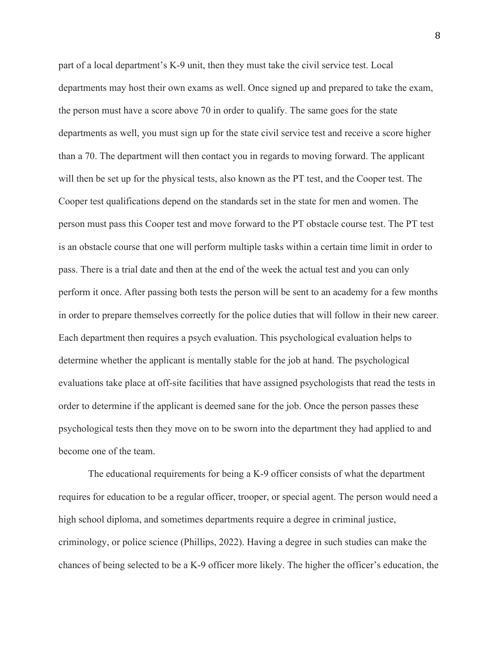part of a local department's K-9 unit, then they must take the civil service test. Local departments may host their own exams as well. Once signed up and prepared to take the exam, the person must have a score above 70 in order to qualify. The same goes for the state departments as well, you must sign up for the state civil service test and receive a score higher than a 70. The department will then contact you in regards to moving forward. The applicant will then be set up for the physical tests, also known as the PT test, and the Cooper test. The Cooper test qualifications depend on the standards set in the state for men and women. The person must pass this Cooper test and move forward to the PT obstacle course test. The PT test is an obstacle course that one will perform multiple tasks within a certain time limit in order to pass. There is a trial date and then at the end of the week the actual test and you can only perform it once. After passing both tests the person will be sent to an academy for a few months in order to prepare themselves correctly for the police duties that will follow in their new career. Each department then requires a psych evaluation. This psychological evaluation helps to determine whether the applicant is mentally stable for the job at hand. The psychological evaluations take place at off-site facilities that have assigned psychologists that read the tests in order to determine if the applicant is deemed sane for the job. Once the person passes these psychological tests then they move on to be sworn into the department they had applied to and become one of the team.

The educational requirements for being a K-9 officer consists of what the department requires for education to be a regular officer, trooper, or special agent. The person would need a high school diploma, and sometimes departments require a degree in criminal justice, criminology, or police science (Phillips, 2022). Having a degree in such studies can make the chances of being selected to be a K-9 officer more likely. The higher the officer's education, the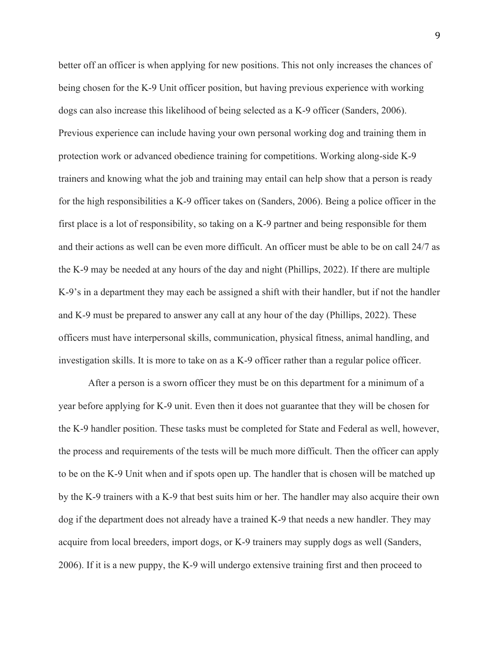better off an officer is when applying for new positions. This not only increases the chances of being chosen for the K-9 Unit officer position, but having previous experience with working dogs can also increase this likelihood of being selected as a K-9 officer (Sanders, 2006). Previous experience can include having your own personal working dog and training them in protection work or advanced obedience training for competitions. Working along-side K-9 trainers and knowing what the job and training may entail can help show that a person is ready for the high responsibilities a K-9 officer takes on (Sanders, 2006). Being a police officer in the first place is a lot of responsibility, so taking on a K-9 partner and being responsible for them and their actions as well can be even more difficult. An officer must be able to be on call 24/7 as the K-9 may be needed at any hours of the day and night (Phillips, 2022). If there are multiple K-9's in a department they may each be assigned a shift with their handler, but if not the handler and K-9 must be prepared to answer any call at any hour of the day (Phillips, 2022). These officers must have interpersonal skills, communication, physical fitness, animal handling, and investigation skills. It is more to take on as a K-9 officer rather than a regular police officer.

After a person is a sworn officer they must be on this department for a minimum of a year before applying for K-9 unit. Even then it does not guarantee that they will be chosen for the K-9 handler position. These tasks must be completed for State and Federal as well, however, the process and requirements of the tests will be much more difficult. Then the officer can apply to be on the K-9 Unit when and if spots open up. The handler that is chosen will be matched up by the K-9 trainers with a K-9 that best suits him or her. The handler may also acquire their own dog if the department does not already have a trained K-9 that needs a new handler. They may acquire from local breeders, import dogs, or K-9 trainers may supply dogs as well (Sanders, 2006). If it is a new puppy, the K-9 will undergo extensive training first and then proceed to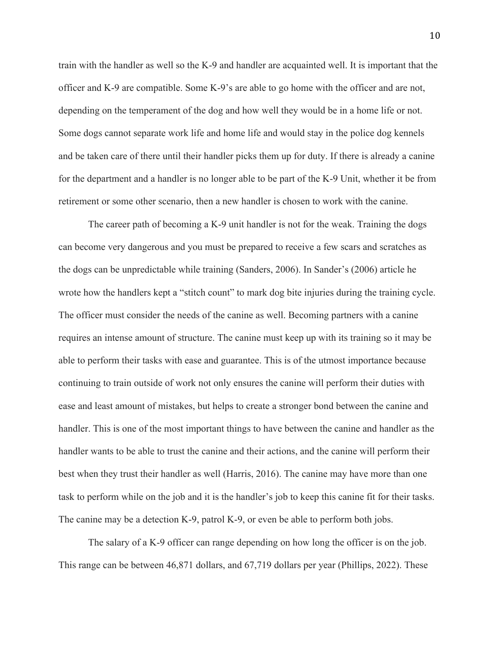train with the handler as well so the K-9 and handler are acquainted well. It is important that the officer and K-9 are compatible. Some K-9's are able to go home with the officer and are not, depending on the temperament of the dog and how well they would be in a home life or not. Some dogs cannot separate work life and home life and would stay in the police dog kennels and be taken care of there until their handler picks them up for duty. If there is already a canine for the department and a handler is no longer able to be part of the K-9 Unit, whether it be from retirement or some other scenario, then a new handler is chosen to work with the canine.

The career path of becoming a K-9 unit handler is not for the weak. Training the dogs can become very dangerous and you must be prepared to receive a few scars and scratches as the dogs can be unpredictable while training (Sanders, 2006). In Sander's (2006) article he wrote how the handlers kept a "stitch count" to mark dog bite injuries during the training cycle. The officer must consider the needs of the canine as well. Becoming partners with a canine requires an intense amount of structure. The canine must keep up with its training so it may be able to perform their tasks with ease and guarantee. This is of the utmost importance because continuing to train outside of work not only ensures the canine will perform their duties with ease and least amount of mistakes, but helps to create a stronger bond between the canine and handler. This is one of the most important things to have between the canine and handler as the handler wants to be able to trust the canine and their actions, and the canine will perform their best when they trust their handler as well (Harris, 2016). The canine may have more than one task to perform while on the job and it is the handler's job to keep this canine fit for their tasks. The canine may be a detection K-9, patrol K-9, or even be able to perform both jobs.

The salary of a K-9 officer can range depending on how long the officer is on the job. This range can be between 46,871 dollars, and 67,719 dollars per year (Phillips, 2022). These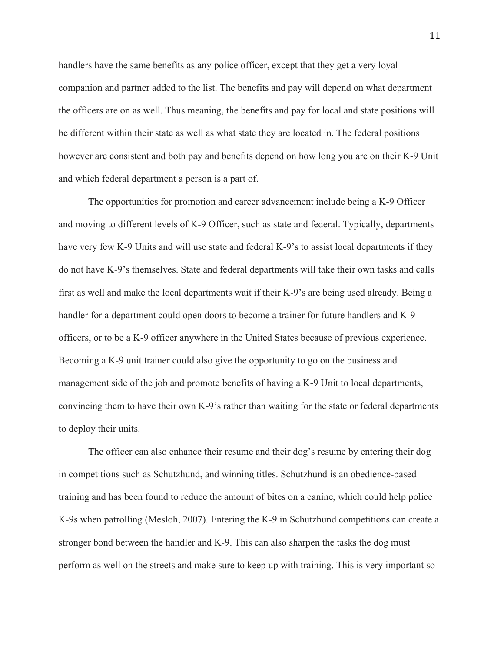handlers have the same benefits as any police officer, except that they get a very loyal companion and partner added to the list. The benefits and pay will depend on what department the officers are on as well. Thus meaning, the benefits and pay for local and state positions will be different within their state as well as what state they are located in. The federal positions however are consistent and both pay and benefits depend on how long you are on their K-9 Unit and which federal department a person is a part of.

The opportunities for promotion and career advancement include being a K-9 Officer and moving to different levels of K-9 Officer, such as state and federal. Typically, departments have very few K-9 Units and will use state and federal K-9's to assist local departments if they do not have K-9's themselves. State and federal departments will take their own tasks and calls first as well and make the local departments wait if their K-9's are being used already. Being a handler for a department could open doors to become a trainer for future handlers and K-9 officers, or to be a K-9 officer anywhere in the United States because of previous experience. Becoming a K-9 unit trainer could also give the opportunity to go on the business and management side of the job and promote benefits of having a K-9 Unit to local departments, convincing them to have their own K-9's rather than waiting for the state or federal departments to deploy their units.

The officer can also enhance their resume and their dog's resume by entering their dog in competitions such as Schutzhund, and winning titles. Schutzhund is an obedience-based training and has been found to reduce the amount of bites on a canine, which could help police K-9s when patrolling (Mesloh, 2007). Entering the K-9 in Schutzhund competitions can create a stronger bond between the handler and K-9. This can also sharpen the tasks the dog must perform as well on the streets and make sure to keep up with training. This is very important so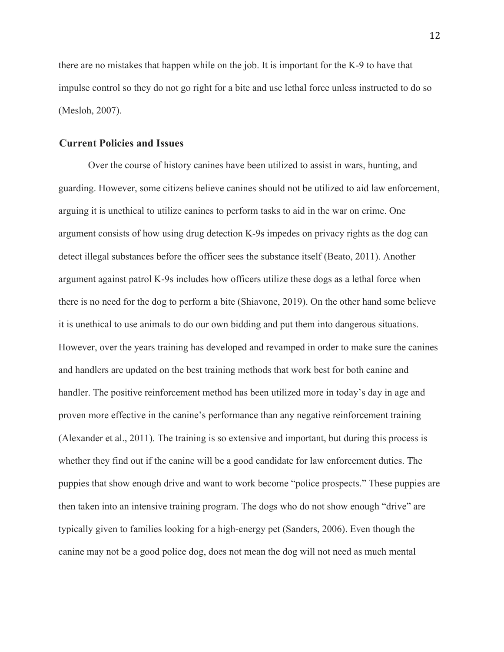there are no mistakes that happen while on the job. It is important for the K-9 to have that impulse control so they do not go right for a bite and use lethal force unless instructed to do so (Mesloh, 2007).

### **Current Policies and Issues**

Over the course of history canines have been utilized to assist in wars, hunting, and guarding. However, some citizens believe canines should not be utilized to aid law enforcement, arguing it is unethical to utilize canines to perform tasks to aid in the war on crime. One argument consists of how using drug detection K-9s impedes on privacy rights as the dog can detect illegal substances before the officer sees the substance itself (Beato, 2011). Another argument against patrol K-9s includes how officers utilize these dogs as a lethal force when there is no need for the dog to perform a bite (Shiavone, 2019). On the other hand some believe it is unethical to use animals to do our own bidding and put them into dangerous situations. However, over the years training has developed and revamped in order to make sure the canines and handlers are updated on the best training methods that work best for both canine and handler. The positive reinforcement method has been utilized more in today's day in age and proven more effective in the canine's performance than any negative reinforcement training (Alexander et al., 2011). The training is so extensive and important, but during this process is whether they find out if the canine will be a good candidate for law enforcement duties. The puppies that show enough drive and want to work become "police prospects." These puppies are then taken into an intensive training program. The dogs who do not show enough "drive" are typically given to families looking for a high-energy pet (Sanders, 2006). Even though the canine may not be a good police dog, does not mean the dog will not need as much mental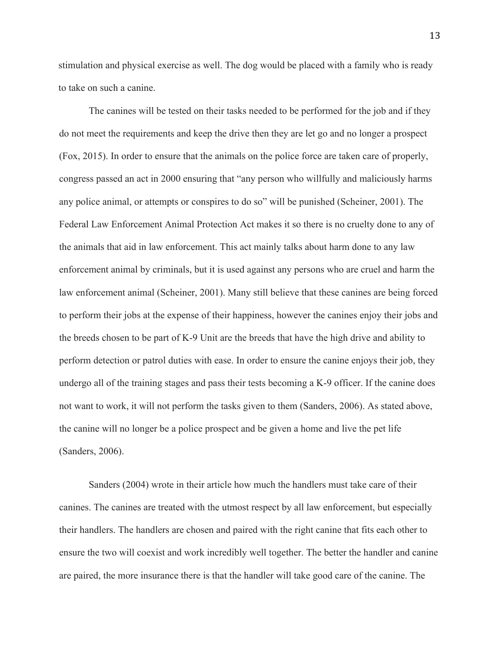stimulation and physical exercise as well. The dog would be placed with a family who is ready to take on such a canine.

The canines will be tested on their tasks needed to be performed for the job and if they do not meet the requirements and keep the drive then they are let go and no longer a prospect (Fox, 2015). In order to ensure that the animals on the police force are taken care of properly, congress passed an act in 2000 ensuring that "any person who willfully and maliciously harms any police animal, or attempts or conspires to do so" will be punished (Scheiner, 2001). The Federal Law Enforcement Animal Protection Act makes it so there is no cruelty done to any of the animals that aid in law enforcement. This act mainly talks about harm done to any law enforcement animal by criminals, but it is used against any persons who are cruel and harm the law enforcement animal (Scheiner, 2001). Many still believe that these canines are being forced to perform their jobs at the expense of their happiness, however the canines enjoy their jobs and the breeds chosen to be part of K-9 Unit are the breeds that have the high drive and ability to perform detection or patrol duties with ease. In order to ensure the canine enjoys their job, they undergo all of the training stages and pass their tests becoming a K-9 officer. If the canine does not want to work, it will not perform the tasks given to them (Sanders, 2006). As stated above, the canine will no longer be a police prospect and be given a home and live the pet life (Sanders, 2006).

Sanders (2004) wrote in their article how much the handlers must take care of their canines. The canines are treated with the utmost respect by all law enforcement, but especially their handlers. The handlers are chosen and paired with the right canine that fits each other to ensure the two will coexist and work incredibly well together. The better the handler and canine are paired, the more insurance there is that the handler will take good care of the canine. The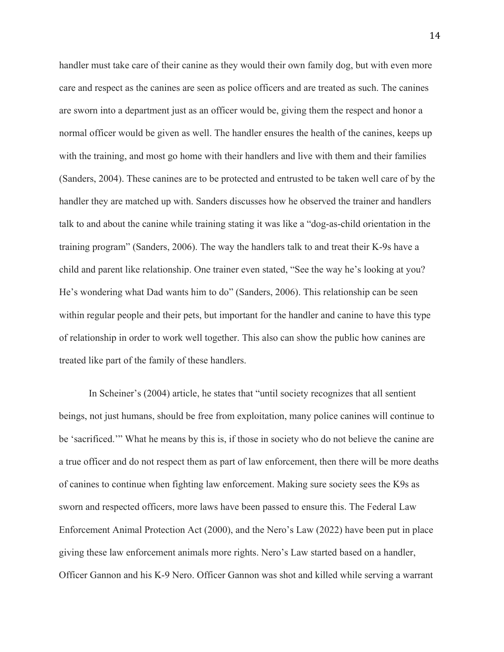handler must take care of their canine as they would their own family dog, but with even more care and respect as the canines are seen as police officers and are treated as such. The canines are sworn into a department just as an officer would be, giving them the respect and honor a normal officer would be given as well. The handler ensures the health of the canines, keeps up with the training, and most go home with their handlers and live with them and their families (Sanders, 2004). These canines are to be protected and entrusted to be taken well care of by the handler they are matched up with. Sanders discusses how he observed the trainer and handlers talk to and about the canine while training stating it was like a "dog-as-child orientation in the training program" (Sanders, 2006). The way the handlers talk to and treat their K-9s have a child and parent like relationship. One trainer even stated, "See the way he's looking at you? He's wondering what Dad wants him to do" (Sanders, 2006). This relationship can be seen within regular people and their pets, but important for the handler and canine to have this type of relationship in order to work well together. This also can show the public how canines are treated like part of the family of these handlers.

In Scheiner's (2004) article, he states that "until society recognizes that all sentient beings, not just humans, should be free from exploitation, many police canines will continue to be 'sacrificed.'" What he means by this is, if those in society who do not believe the canine are a true officer and do not respect them as part of law enforcement, then there will be more deaths of canines to continue when fighting law enforcement. Making sure society sees the K9s as sworn and respected officers, more laws have been passed to ensure this. The Federal Law Enforcement Animal Protection Act (2000), and the Nero's Law (2022) have been put in place giving these law enforcement animals more rights. Nero's Law started based on a handler, Officer Gannon and his K-9 Nero. Officer Gannon was shot and killed while serving a warrant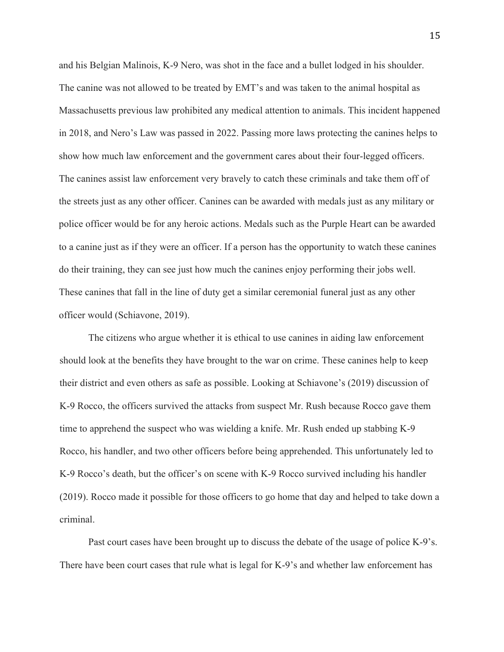and his Belgian Malinois, K-9 Nero, was shot in the face and a bullet lodged in his shoulder. The canine was not allowed to be treated by EMT's and was taken to the animal hospital as Massachusetts previous law prohibited any medical attention to animals. This incident happened in 2018, and Nero's Law was passed in 2022. Passing more laws protecting the canines helps to show how much law enforcement and the government cares about their four-legged officers. The canines assist law enforcement very bravely to catch these criminals and take them off of the streets just as any other officer. Canines can be awarded with medals just as any military or police officer would be for any heroic actions. Medals such as the Purple Heart can be awarded to a canine just as if they were an officer. If a person has the opportunity to watch these canines do their training, they can see just how much the canines enjoy performing their jobs well. These canines that fall in the line of duty get a similar ceremonial funeral just as any other officer would (Schiavone, 2019).

The citizens who argue whether it is ethical to use canines in aiding law enforcement should look at the benefits they have brought to the war on crime. These canines help to keep their district and even others as safe as possible. Looking at Schiavone's (2019) discussion of K-9 Rocco, the officers survived the attacks from suspect Mr. Rush because Rocco gave them time to apprehend the suspect who was wielding a knife. Mr. Rush ended up stabbing K-9 Rocco, his handler, and two other officers before being apprehended. This unfortunately led to K-9 Rocco's death, but the officer's on scene with K-9 Rocco survived including his handler (2019). Rocco made it possible for those officers to go home that day and helped to take down a criminal.

Past court cases have been brought up to discuss the debate of the usage of police K-9's. There have been court cases that rule what is legal for K-9's and whether law enforcement has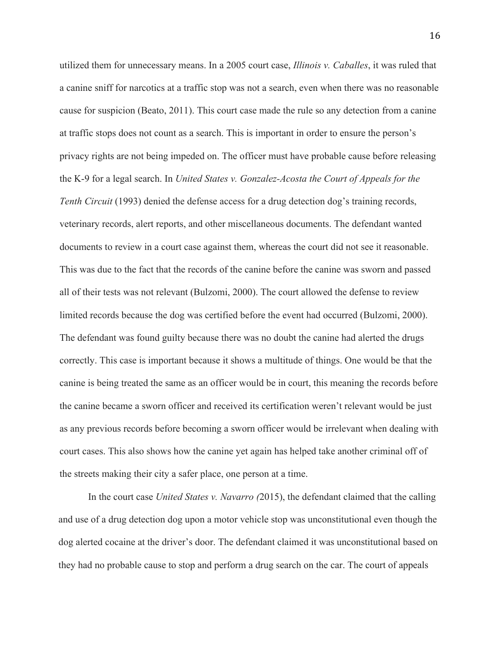utilized them for unnecessary means. In a 2005 court case, *Illinois v. Caballes*, it was ruled that a canine sniff for narcotics at a traffic stop was not a search, even when there was no reasonable cause for suspicion (Beato, 2011). This court case made the rule so any detection from a canine at traffic stops does not count as a search. This is important in order to ensure the person's privacy rights are not being impeded on. The officer must have probable cause before releasing the K-9 for a legal search. In *United States v. Gonzalez-Acosta the Court of Appeals for the Tenth Circuit* (1993) denied the defense access for a drug detection dog's training records, veterinary records, alert reports, and other miscellaneous documents. The defendant wanted documents to review in a court case against them, whereas the court did not see it reasonable. This was due to the fact that the records of the canine before the canine was sworn and passed all of their tests was not relevant (Bulzomi, 2000). The court allowed the defense to review limited records because the dog was certified before the event had occurred (Bulzomi, 2000). The defendant was found guilty because there was no doubt the canine had alerted the drugs correctly. This case is important because it shows a multitude of things. One would be that the canine is being treated the same as an officer would be in court, this meaning the records before the canine became a sworn officer and received its certification weren't relevant would be just as any previous records before becoming a sworn officer would be irrelevant when dealing with court cases. This also shows how the canine yet again has helped take another criminal off of the streets making their city a safer place, one person at a time.

In the court case *United States v. Navarro (*2015), the defendant claimed that the calling and use of a drug detection dog upon a motor vehicle stop was unconstitutional even though the dog alerted cocaine at the driver's door. The defendant claimed it was unconstitutional based on they had no probable cause to stop and perform a drug search on the car. The court of appeals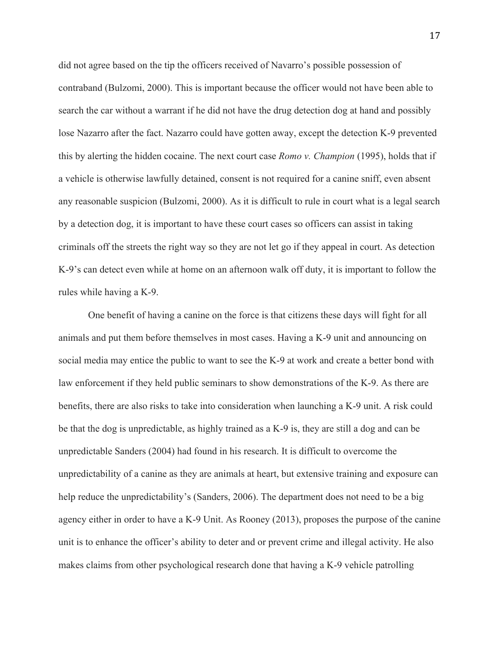did not agree based on the tip the officers received of Navarro's possible possession of contraband (Bulzomi, 2000). This is important because the officer would not have been able to search the car without a warrant if he did not have the drug detection dog at hand and possibly lose Nazarro after the fact. Nazarro could have gotten away, except the detection K-9 prevented this by alerting the hidden cocaine. The next court case *Romo v. Champion* (1995), holds that if a vehicle is otherwise lawfully detained, consent is not required for a canine sniff, even absent any reasonable suspicion (Bulzomi, 2000). As it is difficult to rule in court what is a legal search by a detection dog, it is important to have these court cases so officers can assist in taking criminals off the streets the right way so they are not let go if they appeal in court. As detection K-9's can detect even while at home on an afternoon walk off duty, it is important to follow the rules while having a K-9.

One benefit of having a canine on the force is that citizens these days will fight for all animals and put them before themselves in most cases. Having a K-9 unit and announcing on social media may entice the public to want to see the K-9 at work and create a better bond with law enforcement if they held public seminars to show demonstrations of the K-9. As there are benefits, there are also risks to take into consideration when launching a K-9 unit. A risk could be that the dog is unpredictable, as highly trained as a K-9 is, they are still a dog and can be unpredictable Sanders (2004) had found in his research. It is difficult to overcome the unpredictability of a canine as they are animals at heart, but extensive training and exposure can help reduce the unpredictability's (Sanders, 2006). The department does not need to be a big agency either in order to have a K-9 Unit. As Rooney (2013), proposes the purpose of the canine unit is to enhance the officer's ability to deter and or prevent crime and illegal activity. He also makes claims from other psychological research done that having a K-9 vehicle patrolling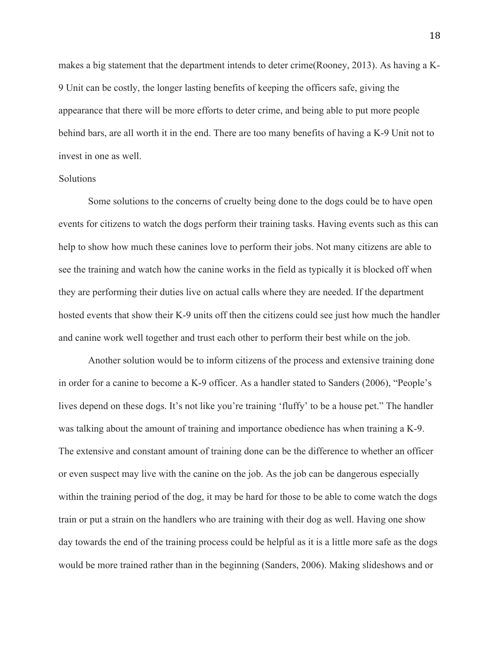makes a big statement that the department intends to deter crime(Rooney, 2013). As having a K-9 Unit can be costly, the longer lasting benefits of keeping the officers safe, giving the appearance that there will be more efforts to deter crime, and being able to put more people behind bars, are all worth it in the end. There are too many benefits of having a K-9 Unit not to invest in one as well.

#### Solutions

Some solutions to the concerns of cruelty being done to the dogs could be to have open events for citizens to watch the dogs perform their training tasks. Having events such as this can help to show how much these canines love to perform their jobs. Not many citizens are able to see the training and watch how the canine works in the field as typically it is blocked off when they are performing their duties live on actual calls where they are needed. If the department hosted events that show their K-9 units off then the citizens could see just how much the handler and canine work well together and trust each other to perform their best while on the job.

Another solution would be to inform citizens of the process and extensive training done in order for a canine to become a K-9 officer. As a handler stated to Sanders (2006), "People's lives depend on these dogs. It's not like you're training 'fluffy' to be a house pet." The handler was talking about the amount of training and importance obedience has when training a K-9. The extensive and constant amount of training done can be the difference to whether an officer or even suspect may live with the canine on the job. As the job can be dangerous especially within the training period of the dog, it may be hard for those to be able to come watch the dogs train or put a strain on the handlers who are training with their dog as well. Having one show day towards the end of the training process could be helpful as it is a little more safe as the dogs would be more trained rather than in the beginning (Sanders, 2006). Making slideshows and or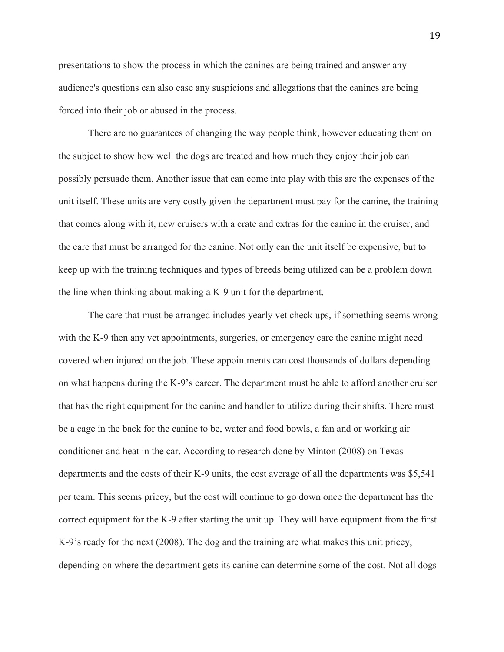presentations to show the process in which the canines are being trained and answer any audience's questions can also ease any suspicions and allegations that the canines are being forced into their job or abused in the process.

There are no guarantees of changing the way people think, however educating them on the subject to show how well the dogs are treated and how much they enjoy their job can possibly persuade them. Another issue that can come into play with this are the expenses of the unit itself. These units are very costly given the department must pay for the canine, the training that comes along with it, new cruisers with a crate and extras for the canine in the cruiser, and the care that must be arranged for the canine. Not only can the unit itself be expensive, but to keep up with the training techniques and types of breeds being utilized can be a problem down the line when thinking about making a K-9 unit for the department.

The care that must be arranged includes yearly vet check ups, if something seems wrong with the K-9 then any vet appointments, surgeries, or emergency care the canine might need covered when injured on the job. These appointments can cost thousands of dollars depending on what happens during the K-9's career. The department must be able to afford another cruiser that has the right equipment for the canine and handler to utilize during their shifts. There must be a cage in the back for the canine to be, water and food bowls, a fan and or working air conditioner and heat in the car. According to research done by Minton (2008) on Texas departments and the costs of their K-9 units, the cost average of all the departments was \$5,541 per team. This seems pricey, but the cost will continue to go down once the department has the correct equipment for the K-9 after starting the unit up. They will have equipment from the first K-9's ready for the next (2008). The dog and the training are what makes this unit pricey, depending on where the department gets its canine can determine some of the cost. Not all dogs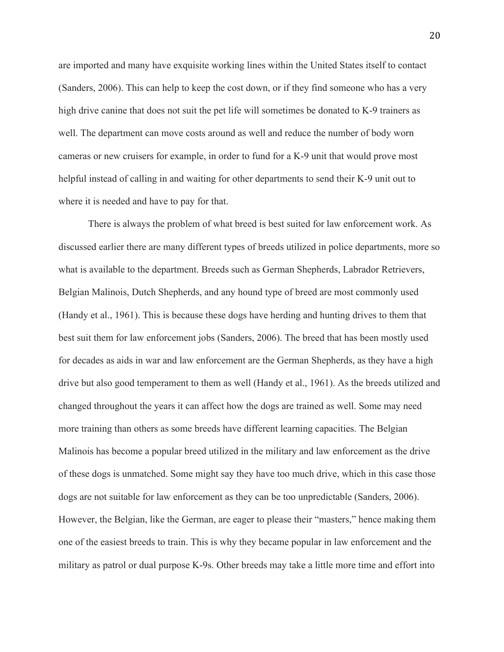are imported and many have exquisite working lines within the United States itself to contact (Sanders, 2006). This can help to keep the cost down, or if they find someone who has a very high drive canine that does not suit the pet life will sometimes be donated to K-9 trainers as well. The department can move costs around as well and reduce the number of body worn cameras or new cruisers for example, in order to fund for a K-9 unit that would prove most helpful instead of calling in and waiting for other departments to send their K-9 unit out to where it is needed and have to pay for that.

There is always the problem of what breed is best suited for law enforcement work. As discussed earlier there are many different types of breeds utilized in police departments, more so what is available to the department. Breeds such as German Shepherds, Labrador Retrievers, Belgian Malinois, Dutch Shepherds, and any hound type of breed are most commonly used (Handy et al., 1961). This is because these dogs have herding and hunting drives to them that best suit them for law enforcement jobs (Sanders, 2006). The breed that has been mostly used for decades as aids in war and law enforcement are the German Shepherds, as they have a high drive but also good temperament to them as well (Handy et al., 1961). As the breeds utilized and changed throughout the years it can affect how the dogs are trained as well. Some may need more training than others as some breeds have different learning capacities. The Belgian Malinois has become a popular breed utilized in the military and law enforcement as the drive of these dogs is unmatched. Some might say they have too much drive, which in this case those dogs are not suitable for law enforcement as they can be too unpredictable (Sanders, 2006). However, the Belgian, like the German, are eager to please their "masters," hence making them one of the easiest breeds to train. This is why they became popular in law enforcement and the military as patrol or dual purpose K-9s. Other breeds may take a little more time and effort into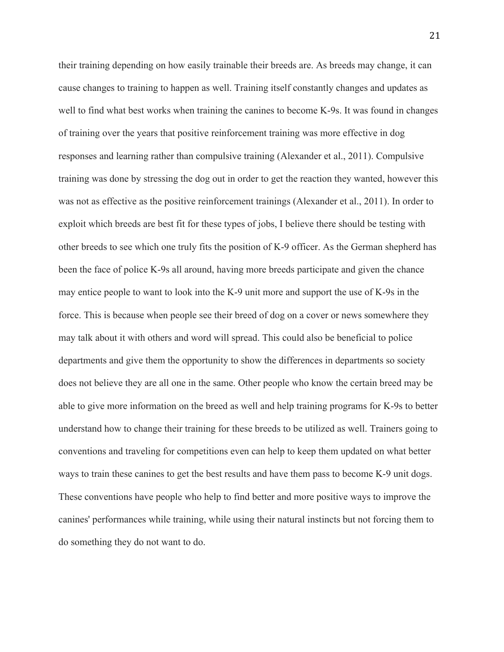their training depending on how easily trainable their breeds are. As breeds may change, it can cause changes to training to happen as well. Training itself constantly changes and updates as well to find what best works when training the canines to become K-9s. It was found in changes of training over the years that positive reinforcement training was more effective in dog responses and learning rather than compulsive training (Alexander et al., 2011). Compulsive training was done by stressing the dog out in order to get the reaction they wanted, however this was not as effective as the positive reinforcement trainings (Alexander et al., 2011). In order to exploit which breeds are best fit for these types of jobs, I believe there should be testing with other breeds to see which one truly fits the position of K-9 officer. As the German shepherd has been the face of police K-9s all around, having more breeds participate and given the chance may entice people to want to look into the K-9 unit more and support the use of K-9s in the force. This is because when people see their breed of dog on a cover or news somewhere they may talk about it with others and word will spread. This could also be beneficial to police departments and give them the opportunity to show the differences in departments so society does not believe they are all one in the same. Other people who know the certain breed may be able to give more information on the breed as well and help training programs for K-9s to better understand how to change their training for these breeds to be utilized as well. Trainers going to conventions and traveling for competitions even can help to keep them updated on what better ways to train these canines to get the best results and have them pass to become K-9 unit dogs. These conventions have people who help to find better and more positive ways to improve the canines' performances while training, while using their natural instincts but not forcing them to do something they do not want to do.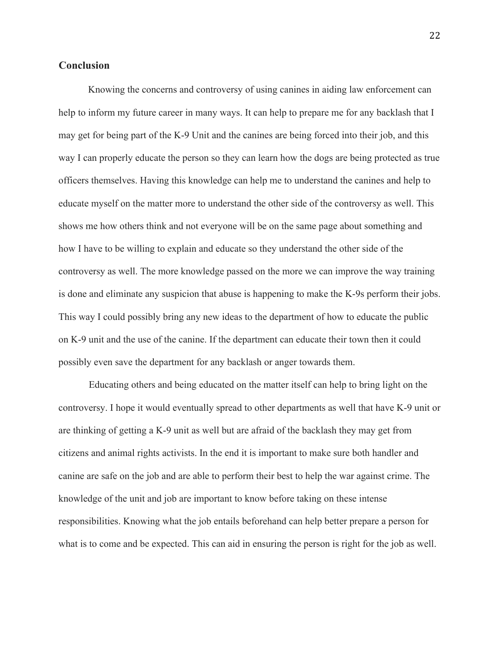## **Conclusion**

Knowing the concerns and controversy of using canines in aiding law enforcement can help to inform my future career in many ways. It can help to prepare me for any backlash that I may get for being part of the K-9 Unit and the canines are being forced into their job, and this way I can properly educate the person so they can learn how the dogs are being protected as true officers themselves. Having this knowledge can help me to understand the canines and help to educate myself on the matter more to understand the other side of the controversy as well. This shows me how others think and not everyone will be on the same page about something and how I have to be willing to explain and educate so they understand the other side of the controversy as well. The more knowledge passed on the more we can improve the way training is done and eliminate any suspicion that abuse is happening to make the K-9s perform their jobs. This way I could possibly bring any new ideas to the department of how to educate the public on K-9 unit and the use of the canine. If the department can educate their town then it could possibly even save the department for any backlash or anger towards them.

Educating others and being educated on the matter itself can help to bring light on the controversy. I hope it would eventually spread to other departments as well that have K-9 unit or are thinking of getting a K-9 unit as well but are afraid of the backlash they may get from citizens and animal rights activists. In the end it is important to make sure both handler and canine are safe on the job and are able to perform their best to help the war against crime. The knowledge of the unit and job are important to know before taking on these intense responsibilities. Knowing what the job entails beforehand can help better prepare a person for what is to come and be expected. This can aid in ensuring the person is right for the job as well.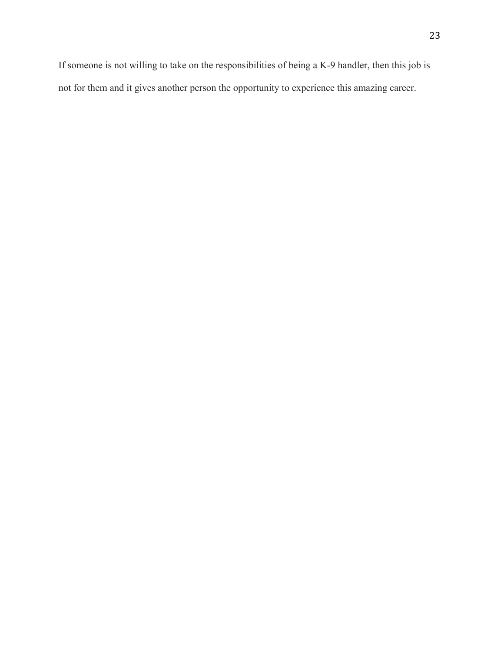If someone is not willing to take on the responsibilities of being a K-9 handler, then this job is not for them and it gives another person the opportunity to experience this amazing career.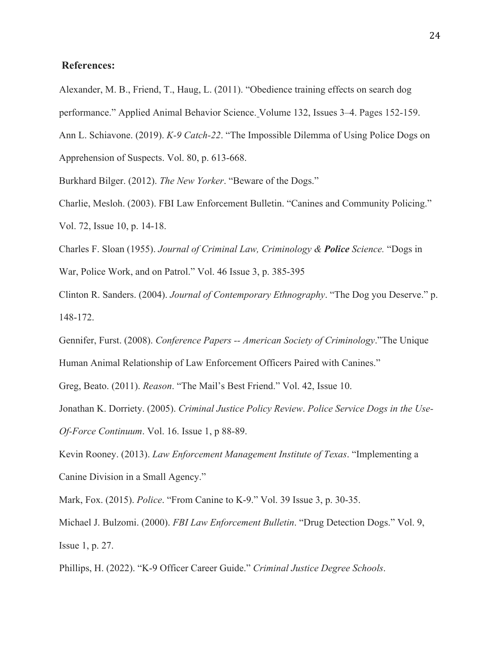## **References:**

Alexander, M. B., Friend, T., Haug, L. (2011). "Obedience training effects on search dog performance." Applied Animal Behavior Science. Volume 132, Issues 3–4. Pages 152-159. Ann L. Schiavone. (2019). *K-9 Catch-22*. "The Impossible Dilemma of Using Police Dogs on Apprehension of Suspects. Vol. 80, p. 613-668.

Burkhard Bilger. (2012). *The New Yorker*. "Beware of the Dogs."

Charlie, Mesloh. (2003). FBI Law Enforcement Bulletin. "Canines and Community Policing." Vol. 72, Issue 10, p. 14-18.

Charles F. Sloan (1955). *Journal of Criminal Law, Criminology & Police Science.* "Dogs in

War, Police Work, and on Patrol." Vol. 46 Issue 3, p. 385-395

Clinton R. Sanders. (2004). *Journal of Contemporary Ethnography*. "The Dog you Deserve." p. 148-172.

Gennifer, Furst. (2008). *Conference Papers -- American Society of Criminology*."The Unique Human Animal Relationship of Law Enforcement Officers Paired with Canines."

Greg, Beato. (2011). *Reason*. "The Mail's Best Friend." Vol. 42, Issue 10.

Jonathan K. Dorriety. (2005). *Criminal Justice Policy Review*. *Police Service Dogs in the Use-Of-Force Continuum*. Vol. 16. Issue 1, p 88-89.

Kevin Rooney. (2013). *Law Enforcement Management Institute of Texas*. "Implementing a Canine Division in a Small Agency."

Mark, Fox. (2015). *Police*. "From Canine to K-9." Vol. 39 Issue 3, p. 30-35.

Michael J. Bulzomi. (2000). *FBI Law Enforcement Bulletin*. "Drug Detection Dogs." Vol. 9, Issue 1, p. 27.

Phillips, H. (2022). "K-9 Officer Career Guide." *Criminal Justice Degree Schools*.